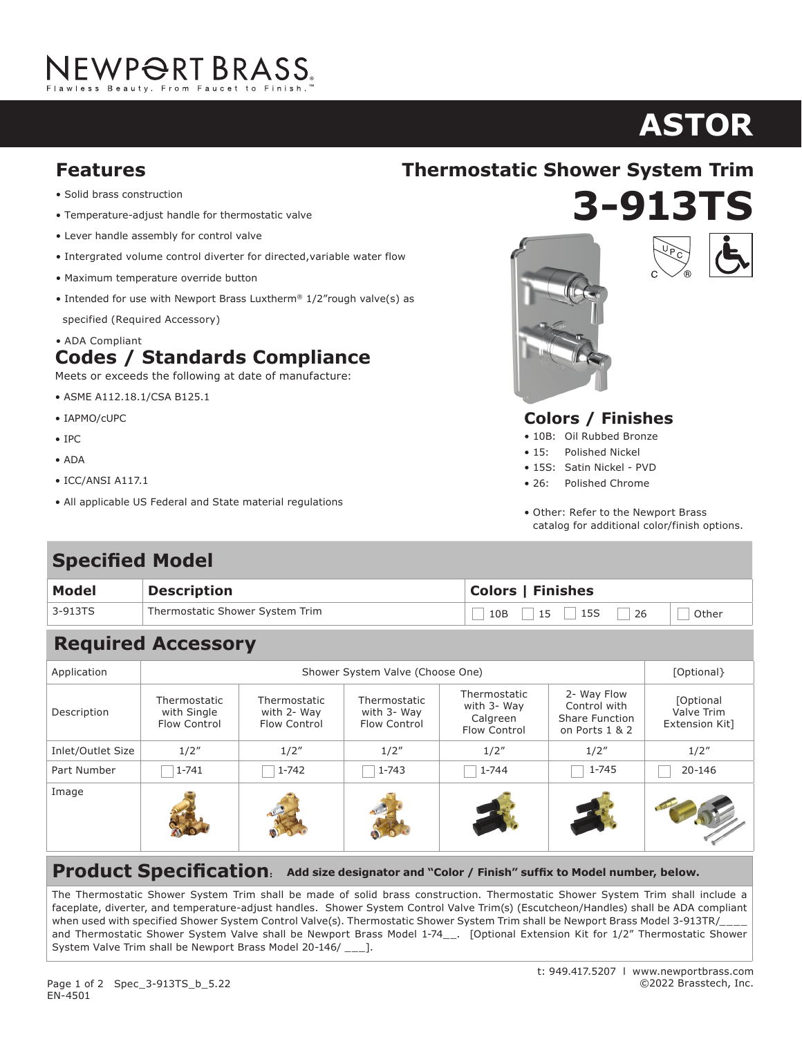# NEWP<del>O</del>RT BRASS.

## **ASTOR**

- Solid brass construction
- Temperature-adjust handle for thermostatic valve
- Lever handle assembly for control valve
- Intergrated volume control diverter for directed,variable water flow
- Maximum temperature override button
- Intended for use with Newport Brass Luxtherm® 1/2"rough valve(s) as specified (Required Accessory)
- ADA Compliant **Codes / Standards Compliance**

Meets or exceeds the following at date of manufacture:

- ASME A112.18.1/CSA B125.1
- IAPMO/cUPC
- IPC
- ADA
- ICC/ANSI A117.1
- All applicable US Federal and State material regulations

## **3-913TS Features Thermostatic Shower System Trim**





#### **Colors / Finishes**

- 10B: Oil Rubbed Bronze
- 15: Polished Nickel
- 15S: Satin Nickel PVD
- 26: Polished Chrome
- Other: Refer to the Newport Brass catalog for additional color/finish options.

### **Specified Model**

| Model   | <b>Description</b>              | <b>Colors   Finishes</b>    |  |  |
|---------|---------------------------------|-----------------------------|--|--|
| 3-913TS | Thermostatic Shower System Trim | 10B   15   15S   26   Other |  |  |

#### **Required Accessory**

| Application       | Shower System Valve (Choose One)            |                                             |                                             |                                                         |                                                                        | [Optional}                                       |
|-------------------|---------------------------------------------|---------------------------------------------|---------------------------------------------|---------------------------------------------------------|------------------------------------------------------------------------|--------------------------------------------------|
| Description       | Thermostatic<br>with Single<br>Flow Control | Thermostatic<br>with 2- Way<br>Flow Control | Thermostatic<br>with 3- Way<br>Flow Control | Thermostatic<br>with 3- Way<br>Calgreen<br>Flow Control | 2- Way Flow<br>Control with<br><b>Share Function</b><br>on Ports 1 & 2 | <b>[Optional</b><br>Valve Trim<br>Extension Kit] |
| Inlet/Outlet Size | 1/2''                                       | 1/2''                                       | 1/2''                                       | 1/2''                                                   | 1/2''                                                                  | 1/2''                                            |
| Part Number       | $1 - 741$                                   | $1 - 742$<br>$\sim$                         | 1-743                                       | $1 - 744$                                               | 1-745                                                                  | 20-146                                           |
| Image             |                                             |                                             |                                             |                                                         |                                                                        |                                                  |

**Product Specification**: Add size designator and "Color / Finish" suffix to Model number, below.

The Thermostatic Shower System Trim shall be made of solid brass construction. Thermostatic Shower System Trim shall include a faceplate, diverter, and temperature-adjust handles. Shower System Control Valve Trim(s) (Escutcheon/Handles) shall be ADA compliant when used with specified Shower System Control Valve(s). Thermostatic Shower System Trim shall be Newport Brass Model 3-913TR/ and Thermostatic Shower System Valve shall be Newport Brass Model 1-74\_\_. [Optional Extension Kit for 1/2" Thermostatic Shower System Valve Trim shall be Newport Brass Model 20-146/ \_\_\_].